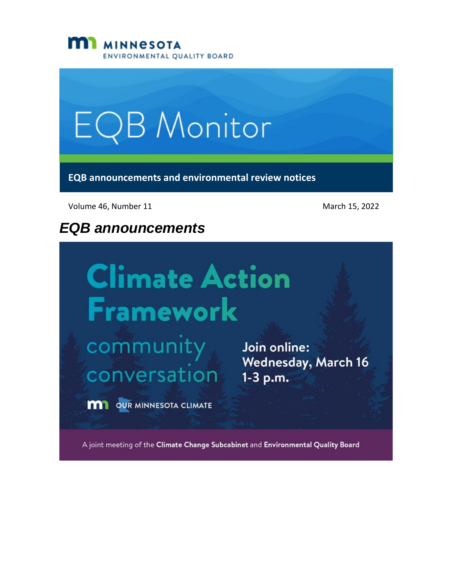



Volume 46, Number 11 March 15, 2022

# *EQB announcements*

# **Climate Action** Framework

community Join online:<br>
Wednesday, March 16<br>
CONVETSation 1-3 p.m.

**M1** OUR MINNESOTA CLIMATE

A joint meeting of the Climate Change Subcabinet and Environmental Quality Board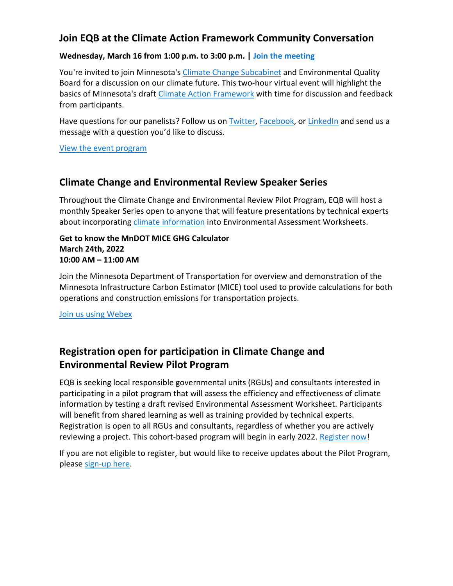#### **Join EQB at the Climate Action Framework Community Conversation**

#### **Wednesday, March 16 from 1:00 p.m. to 3:00 p.m. | [Join the meeting](https://minnesota.webex.com/minnesota/j.php?MTID=m0d87027b47e4588e07b06a9f31b2835a)**

You're invited to join Minnesota's [Climate Change Subcabinet](https://climate.state.mn.us/subcabinet) and Environmental Quality Board for a discussion on our climate future. This two-hour virtual event will highlight the basics of Minnesota's draft [Climate Action Framework](https://climate.state.mn.us/minnesotas-climate-action-framework) with time for discussion and feedback from participants.

Have questions for our panelists? Follow us o[n Twitter,](https://gcc02.safelinks.protection.outlook.com/?url=https%3A%2F%2Fwww.facebook.com%2FMnEQB%2F&data=04%7C01%7CKatrina.Hapka%40state.mn.us%7C4ecb64fe56504cfd585008da06a43316%7Ceb14b04624c445198f26b89c2159828c%7C0%7C0%7C637829599679386853%7CUnknown%7CTWFpbGZsb3d8eyJWIjoiMC4wLjAwMDAiLCJQIjoiV2luMzIiLCJBTiI6Ik1haWwiLCJXVCI6Mn0%3D%7C3000&sdata=p60ftf8cbyty%2F9nIzF3ejiAcQ4LBEB%2FZ5hPngR3idSo%3D&reserved=0) [Facebook,](https://gcc02.safelinks.protection.outlook.com/?url=https%3A%2F%2Ftwitter.com%2FMnEQB&data=04%7C01%7CKatrina.Hapka%40state.mn.us%7C4ecb64fe56504cfd585008da06a43316%7Ceb14b04624c445198f26b89c2159828c%7C0%7C0%7C637829599679386853%7CUnknown%7CTWFpbGZsb3d8eyJWIjoiMC4wLjAwMDAiLCJQIjoiV2luMzIiLCJBTiI6Ik1haWwiLCJXVCI6Mn0%3D%7C3000&sdata=JD7y0DGMkNOw4koSZmaWpXGjNer%2Buy341KUo23B4kF0%3D&reserved=0) or [LinkedIn](https://gcc02.safelinks.protection.outlook.com/?url=https%3A%2F%2Fwww.linkedin.com%2Fcompany%2Fmn-environmental-quality-board%2F&data=04%7C01%7CKatrina.Hapka%40state.mn.us%7C4ecb64fe56504cfd585008da06a43316%7Ceb14b04624c445198f26b89c2159828c%7C0%7C0%7C637829599679386853%7CUnknown%7CTWFpbGZsb3d8eyJWIjoiMC4wLjAwMDAiLCJQIjoiV2luMzIiLCJBTiI6Ik1haWwiLCJXVCI6Mn0%3D%7C3000&sdata=%2BgFFAQ82IRQGjYBBb82WjpoNw93OW2HAMlAEwxv3Beo%3D&reserved=0) and send us a message with a question you'd like to discuss.

#### [View the event program](https://www.eqb.state.mn.us/sites/default/files/documents/01-%20Agenda%20final%202022.03.02.pdf)

#### **Climate Change and Environmental Review Speaker Series**

Throughout the Climate Change and Environmental Review Pilot Program, EQB will host a monthly Speaker Series open to anyone that will feature presentations by technical experts about incorporating [climate information](https://www.eqb.state.mn.us/content/climate-change-and-environmental-review-pilot-program) into Environmental Assessment Worksheets.

#### **Get to know the MnDOT MICE GHG Calculator March 24th, 2022 10:00 AM – 11:00 AM**

Join the Minnesota Department of Transportation for overview and demonstration of the Minnesota Infrastructure Carbon Estimator (MICE) tool used to provide calculations for both operations and construction emissions for transportation projects.

[Join us using Webex](https://www.eqb.state.mn.us/content/climate-change-and-environmental-review-pilot-program)

## **Registration open for participation in Climate Change and Environmental Review Pilot Program**

EQB is seeking local responsible governmental units (RGUs) and consultants interested in participating in a pilot program that will assess the efficiency and effectiveness of climate information by testing a draft revised Environmental Assessment Worksheet. Participants will benefit from shared learning as well as training provided by technical experts. Registration is open to all RGUs and consultants, regardless of whether you are actively reviewing a project. This cohort-based program will begin in early 2022. [Register now!](https://survey.mn.gov/s.asp?k=163603591800)

If you are not eligible to register, but would like to receive updates about the Pilot Program, please [sign-up here.](https://public.govdelivery.com/accounts/MNEQB/subscriber/new?topic_id=MNEQB_60)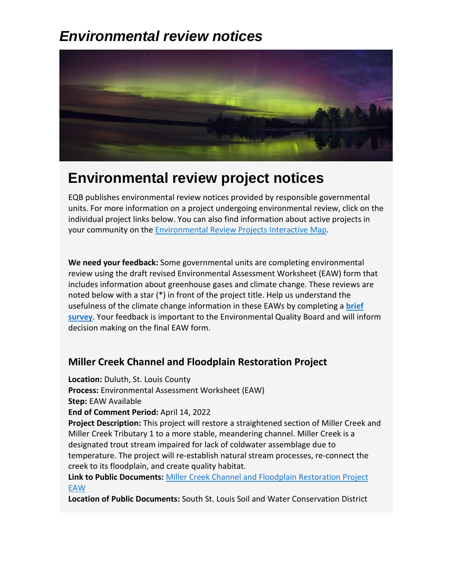# *Environmental review notices*



# **Environmental review project notices**

EQB publishes environmental review notices provided by responsible governmental units. For more information on a project undergoing environmental review, click on the individual project links below. You can also find information about active projects in your community on th[e Environmental Review Projects Interactive Map.](https://gcc02.safelinks.protection.outlook.com/?url=https%3A%2F%2Fmpca.maps.arcgis.com%2Fapps%2Fwebappviewer%2Findex.html%3Fid%3D2cb4bf017b21490d9af80cb081a3a279&data=04%7C01%7CKatrina.Hapka%40state.mn.us%7C4ecb64fe56504cfd585008da06a43316%7Ceb14b04624c445198f26b89c2159828c%7C0%7C0%7C637829599679386853%7CUnknown%7CTWFpbGZsb3d8eyJWIjoiMC4wLjAwMDAiLCJQIjoiV2luMzIiLCJBTiI6Ik1haWwiLCJXVCI6Mn0%3D%7C3000&sdata=4%2BU3SYXaj70BD4kH%2BIjImKTFOtcXE5medaV58T9ZDdc%3D&reserved=0)

**We need your feedback:** Some governmental units are completing environmental review using the draft revised Environmental Assessment Worksheet (EAW) form that includes information about greenhouse gases and climate change. These reviews are noted below with a star (\*) in front of the project title. Help us understand the usefulness of the climate change information in these EAWs by completing a **[brief](https://survey.mn.gov/s.asp?k=164495461538)  [survey](https://survey.mn.gov/s.asp?k=164495461538)**. Your feedback is important to the Environmental Quality Board and will inform decision making on the final EAW form.

### **Miller Creek Channel and Floodplain Restoration Project**

**Location:** Duluth, St. Louis County **Process:** Environmental Assessment Worksheet (EAW) **Step:** EAW Available **End of Comment Period:** April 14, 2022 **Project Description:** This project will restore a straightened section of Miller Creek and Miller Creek Tributary 1 to a more stable, meandering channel. Miller Creek is a designated trout stream impaired for lack of coldwater assemblage due to temperature. The project will re-establish natural stream processes, re-connect the creek to its floodplain, and create quality habitat.

**Link to Public Documents:** [Miller Creek Channel and Floodplain Restoration Project](https://gcc02.safelinks.protection.outlook.com/?url=https%3A%2F%2Fwww.southstlouisswcd.org%2Fwp-content%2Fuploads%2F2022%2F03%2FMiller-Creek-Channel-and-Floodplain-Restoration-Project-EAW.pdf&data=04%7C01%7CKatrina.Hapka%40state.mn.us%7C4ecb64fe56504cfd585008da06a43316%7Ceb14b04624c445198f26b89c2159828c%7C0%7C0%7C637829599679386853%7CUnknown%7CTWFpbGZsb3d8eyJWIjoiMC4wLjAwMDAiLCJQIjoiV2luMzIiLCJBTiI6Ik1haWwiLCJXVCI6Mn0%3D%7C3000&sdata=Ztl%2FvAKNtkOFy8Bln3ZwPo6uBOjvbZuxnHJE13sBy%2F0%3D&reserved=0)  [EAW](https://gcc02.safelinks.protection.outlook.com/?url=https%3A%2F%2Fwww.southstlouisswcd.org%2Fwp-content%2Fuploads%2F2022%2F03%2FMiller-Creek-Channel-and-Floodplain-Restoration-Project-EAW.pdf&data=04%7C01%7CKatrina.Hapka%40state.mn.us%7C4ecb64fe56504cfd585008da06a43316%7Ceb14b04624c445198f26b89c2159828c%7C0%7C0%7C637829599679386853%7CUnknown%7CTWFpbGZsb3d8eyJWIjoiMC4wLjAwMDAiLCJQIjoiV2luMzIiLCJBTiI6Ik1haWwiLCJXVCI6Mn0%3D%7C3000&sdata=Ztl%2FvAKNtkOFy8Bln3ZwPo6uBOjvbZuxnHJE13sBy%2F0%3D&reserved=0)

**Location of Public Documents:** South St. Louis Soil and Water Conservation District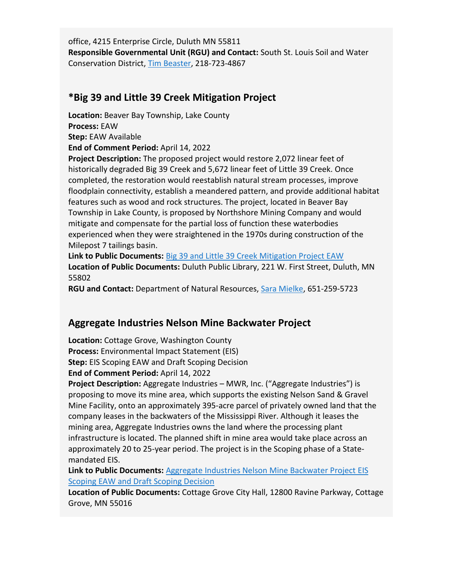office, 4215 Enterprise Circle, Duluth MN 55811 **Responsible Governmental Unit (RGU) and Contact:** South St. Louis Soil and Water Conservation District, [Tim Beaster,](mailto:tim.beaster@southstlouisswcd.org) 218-723-4867

#### **\*Big 39 and Little 39 Creek Mitigation Project**

**Location:** Beaver Bay Township, Lake County **Process:** EAW **Step:** EAW Available **End of Comment Period:** April 14, 2022

**Project Description:** The proposed project would restore 2,072 linear feet of historically degraded Big 39 Creek and 5,672 linear feet of Little 39 Creek. Once completed, the restoration would reestablish natural stream processes, improve floodplain connectivity, establish a meandered pattern, and provide additional habitat features such as wood and rock structures. The project, located in Beaver Bay Township in Lake County, is proposed by Northshore Mining Company and would mitigate and compensate for the partial loss of function these waterbodies experienced when they were straightened in the 1970s during construction of the Milepost 7 tailings basin.

**Link to Public Documents:** [Big 39 and Little 39 Creek Mitigation Project EAW](https://www.dnr.state.mn.us/input/environmentalreview/big-39-and-little-39-creek-mitigation-project/index.html) **Location of Public Documents:** Duluth Public Library, 221 W. First Street, Duluth, MN 55802

**RGU and Contact:** Department of Natural Resources, [Sara Mielke](mailto:sara.mielke@state.mn.us), 651-259-5723

#### **Aggregate Industries Nelson Mine Backwater Project**

**Location:** Cottage Grove, Washington County **Process:** Environmental Impact Statement (EIS) **Step:** EIS Scoping EAW and Draft Scoping Decision **End of Comment Period:** April 14, 2022

**Project Description:** Aggregate Industries – MWR, Inc. ("Aggregate Industries") is proposing to move its mine area, which supports the existing Nelson Sand & Gravel Mine Facility, onto an approximately 395-acre parcel of privately owned land that the company leases in the backwaters of the Mississippi River. Although it leases the mining area, Aggregate Industries owns the land where the processing plant infrastructure is located. The planned shift in mine area would take place across an approximately 20 to 25-year period. The project is in the Scoping phase of a Statemandated EIS.

**Link to Public Documents:** [Aggregate Industries Nelson Mine Backwater Project EIS](https://gcc02.safelinks.protection.outlook.com/?url=https%3A%2F%2Fwww.cottagegrovemn.gov%2F598%2FAggregate-Industries&data=04%7C01%7CKatrina.Hapka%40state.mn.us%7C4ecb64fe56504cfd585008da06a43316%7Ceb14b04624c445198f26b89c2159828c%7C0%7C0%7C637829599679386853%7CUnknown%7CTWFpbGZsb3d8eyJWIjoiMC4wLjAwMDAiLCJQIjoiV2luMzIiLCJBTiI6Ik1haWwiLCJXVCI6Mn0%3D%7C3000&sdata=yyaUJMqpLzndDXtD8ALlCBGyYR9IHacg%2BtZMZOmG4Rw%3D&reserved=0)  [Scoping EAW and Draft Scoping Decision](https://gcc02.safelinks.protection.outlook.com/?url=https%3A%2F%2Fwww.cottagegrovemn.gov%2F598%2FAggregate-Industries&data=04%7C01%7CKatrina.Hapka%40state.mn.us%7C4ecb64fe56504cfd585008da06a43316%7Ceb14b04624c445198f26b89c2159828c%7C0%7C0%7C637829599679386853%7CUnknown%7CTWFpbGZsb3d8eyJWIjoiMC4wLjAwMDAiLCJQIjoiV2luMzIiLCJBTiI6Ik1haWwiLCJXVCI6Mn0%3D%7C3000&sdata=yyaUJMqpLzndDXtD8ALlCBGyYR9IHacg%2BtZMZOmG4Rw%3D&reserved=0)

**Location of Public Documents:** Cottage Grove City Hall, 12800 Ravine Parkway, Cottage Grove, MN 55016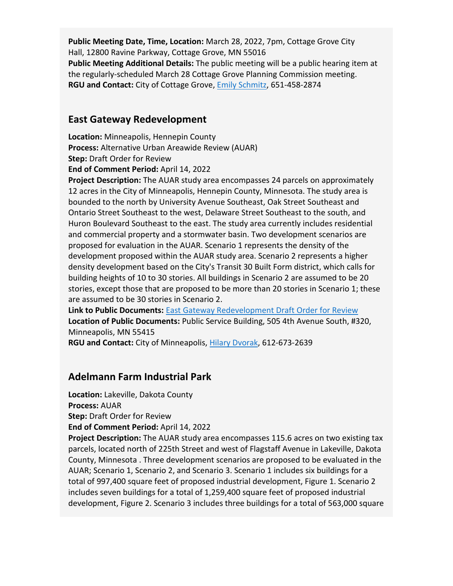**Public Meeting Date, Time, Location:** March 28, 2022, 7pm, Cottage Grove City Hall, 12800 Ravine Parkway, Cottage Grove, MN 55016 **Public Meeting Additional Details:** The public meeting will be a public hearing item at the regularly-scheduled March 28 Cottage Grove Planning Commission meeting. **RGU and Contact:** City of Cottage Grove, [Emily Schmitz](mailto:eschmitz@cottagegrovemn.gov), 651-458-2874

#### **East Gateway Redevelopment**

**Location:** Minneapolis, Hennepin County **Process:** Alternative Urban Areawide Review (AUAR) **Step:** Draft Order for Review **End of Comment Period:** April 14, 2022

**Project Description:** The AUAR study area encompasses 24 parcels on approximately 12 acres in the City of Minneapolis, Hennepin County, Minnesota. The study area is bounded to the north by University Avenue Southeast, Oak Street Southeast and Ontario Street Southeast to the west, Delaware Street Southeast to the south, and Huron Boulevard Southeast to the east. The study area currently includes residential and commercial property and a stormwater basin. Two development scenarios are proposed for evaluation in the AUAR. Scenario 1 represents the density of the development proposed within the AUAR study area. Scenario 2 represents a higher density development based on the City's Transit 30 Built Form district, which calls for building heights of 10 to 30 stories. All buildings in Scenario 2 are assumed to be 20 stories, except those that are proposed to be more than 20 stories in Scenario 1; these are assumed to be 30 stories in Scenario 2.

**Link to Public Documents:** [East Gateway Redevelopment Draft Order for Review](https://gcc02.safelinks.protection.outlook.com/?url=https%3A%2F%2Fwww2.minneapolismn.gov%2Fbusiness-services%2Fplanning-zoning%2Fenvironmental-review%2Feast-gateway-redevelopment%2F&data=04%7C01%7CKatrina.Hapka%40state.mn.us%7C4ecb64fe56504cfd585008da06a43316%7Ceb14b04624c445198f26b89c2159828c%7C0%7C0%7C637829599679386853%7CUnknown%7CTWFpbGZsb3d8eyJWIjoiMC4wLjAwMDAiLCJQIjoiV2luMzIiLCJBTiI6Ik1haWwiLCJXVCI6Mn0%3D%7C3000&sdata=LE6kHxNJ9cIaqJ7YcCtAQmCewW9osS9lu3kN%2FqEMDc0%3D&reserved=0) **Location of Public Documents:** Public Service Building, 505 4th Avenue South, #320, Minneapolis, MN 55415

**RGU and Contact:** City of Minneapolis, [Hilary Dvorak,](mailto:hilary.dvorak@minneapolismn.gov) 612-673-2639

#### **Adelmann Farm Industrial Park**

**Location:** Lakeville, Dakota County

**Process:** AUAR

**Step:** Draft Order for Review

**End of Comment Period:** April 14, 2022

**Project Description:** The AUAR study area encompasses 115.6 acres on two existing tax parcels, located north of 225th Street and west of Flagstaff Avenue in Lakeville, Dakota County, Minnesota . Three development scenarios are proposed to be evaluated in the AUAR; Scenario 1, Scenario 2, and Scenario 3. Scenario 1 includes six buildings for a total of 997,400 square feet of proposed industrial development, Figure 1. Scenario 2 includes seven buildings for a total of 1,259,400 square feet of proposed industrial development, Figure 2. Scenario 3 includes three buildings for a total of 563,000 square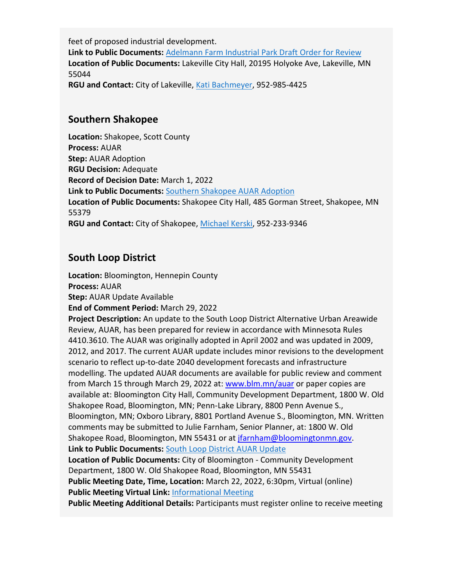feet of proposed industrial development. **Link to Public Documents:** [Adelmann Farm Industrial Park Draft Order for Review](https://gcc02.safelinks.protection.outlook.com/?url=https%3A%2F%2Fwww.lakevillemn.gov%2FDocumentCenter%2FView%2F10681%2FAdelmann-Farm-AUAR-Order-PDF&data=04%7C01%7CKatrina.Hapka%40state.mn.us%7C4ecb64fe56504cfd585008da06a43316%7Ceb14b04624c445198f26b89c2159828c%7C0%7C0%7C637829599679386853%7CUnknown%7CTWFpbGZsb3d8eyJWIjoiMC4wLjAwMDAiLCJQIjoiV2luMzIiLCJBTiI6Ik1haWwiLCJXVCI6Mn0%3D%7C3000&sdata=UkGA2r%2BCnAIY9eCB4KTuv1iuLvPHZTzbmizDg9CVt4g%3D&reserved=0) **Location of Public Documents:** Lakeville City Hall, 20195 Holyoke Ave, Lakeville, MN 55044 **RGU and Contact:** City of Lakeville, [Kati Bachmeyer,](mailto:kbachmayer@lakevillemn.gov) 952-985-4425

#### **Southern Shakopee**

**Location:** Shakopee, Scott County **Process:** AUAR **Step:** AUAR Adoption **RGU Decision:** Adequate **Record of Decision Date:** March 1, 2022 **Link to Public Documents:** [Southern Shakopee AUAR Adoption](https://gcc02.safelinks.protection.outlook.com/?url=https%3A%2F%2Fwww.shakopeemn.gov%2FHome%2FComponents%2FNews%2FNews%2F7857%2F&data=04%7C01%7CKatrina.Hapka%40state.mn.us%7C4ecb64fe56504cfd585008da06a43316%7Ceb14b04624c445198f26b89c2159828c%7C0%7C0%7C637829599679386853%7CUnknown%7CTWFpbGZsb3d8eyJWIjoiMC4wLjAwMDAiLCJQIjoiV2luMzIiLCJBTiI6Ik1haWwiLCJXVCI6Mn0%3D%7C3000&sdata=0%2FaSwR7p7N%2FqNvLCj%2FZ%2BCBUTZ22l7ddjdI4pOAMt%2BBQ%3D&reserved=0) **Location of Public Documents:** Shakopee City Hall, 485 Gorman Street, Shakopee, MN 55379 **RGU and Contact:** City of Shakopee, [Michael Kerski,](mailto:mkerski@shakopeemn.gov) 952-233-9346

## **South Loop District**

**Location:** Bloomington, Hennepin County

**Process:** AUAR

**Step:** AUAR Update Available

**End of Comment Period:** March 29, 2022

**Project Description:** An update to the South Loop District Alternative Urban Areawide Review, AUAR, has been prepared for review in accordance with Minnesota Rules 4410.3610. The AUAR was originally adopted in April 2002 and was updated in 2009, 2012, and 2017. The current AUAR update includes minor revisions to the development scenario to reflect up-to-date 2040 development forecasts and infrastructure modelling. The updated AUAR documents are available for public review and comment from March 15 through March 29, 2022 at[: www.blm.mn/auar](http://www.blm.mn/auar) or paper copies are available at: Bloomington City Hall, Community Development Department, 1800 W. Old Shakopee Road, Bloomington, MN; Penn-Lake Library, 8800 Penn Avenue S., Bloomington, MN; Oxboro Library, 8801 Portland Avenue S., Bloomington, MN. Written comments may be submitted to Julie Farnham, Senior Planner, at: 1800 W. Old Shakopee Road, Bloomington, MN 55431 or at [jfarnham@bloomingtonmn.gov.](mailto:jfarnham@bloomingtonmn.gov) **Link to Public Documents:** [South Loop District AUAR Update](https://gcc02.safelinks.protection.outlook.com/?url=https%3A%2F%2Fwww.bloomingtonmn.gov%2Fplan%2Fsouth-loop-auar&data=04%7C01%7CKatrina.Hapka%40state.mn.us%7C4ecb64fe56504cfd585008da06a43316%7Ceb14b04624c445198f26b89c2159828c%7C0%7C0%7C637829599679386853%7CUnknown%7CTWFpbGZsb3d8eyJWIjoiMC4wLjAwMDAiLCJQIjoiV2luMzIiLCJBTiI6Ik1haWwiLCJXVCI6Mn0%3D%7C3000&sdata=5nSR2q1avkS2cFmsAY13dycK57SCOT8oXrGdhf%2BQtlc%3D&reserved=0) **Location of Public Documents:** City of Bloomington - Community Development Department, 1800 W. Old Shakopee Road, Bloomington, MN 55431 **Public Meeting Date, Time, Location:** March 22, 2022, 6:30pm, Virtual (online) **Public Meeting Virtual Link:** [Informational Meeting](https://gcc02.safelinks.protection.outlook.com/?url=http%3A%2F%2Fwww.blm.mn%2Fauar&data=04%7C01%7CKatrina.Hapka%40state.mn.us%7C4ecb64fe56504cfd585008da06a43316%7Ceb14b04624c445198f26b89c2159828c%7C0%7C0%7C637829599679386853%7CUnknown%7CTWFpbGZsb3d8eyJWIjoiMC4wLjAwMDAiLCJQIjoiV2luMzIiLCJBTiI6Ik1haWwiLCJXVCI6Mn0%3D%7C3000&sdata=7x6hduJoQ6rbAS3hQdknxJs7ibnpal0LZOzaSPt5v5M%3D&reserved=0) **Public Meeting Additional Details:** Participants must register online to receive meeting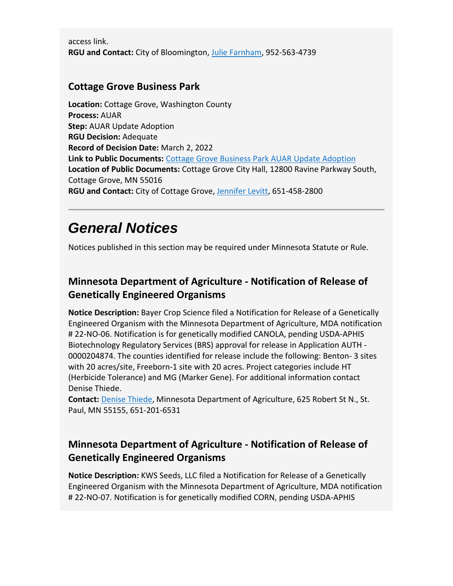access link. **RGU and Contact:** City of Bloomington, [Julie Farnham,](mailto:jfarnham@bloomingtonmn.gov) 952-563-4739

#### **Cottage Grove Business Park**

**Location:** Cottage Grove, Washington County **Process:** AUAR **Step:** AUAR Update Adoption **RGU Decision:** Adequate **Record of Decision Date:** March 2, 2022 **Link to Public Documents:** [Cottage Grove Business Park AUAR Update Adoption](https://gcc02.safelinks.protection.outlook.com/?url=https%3A%2F%2Fwww.cottagegrovemn.gov%2FDocumentCenter%2FView%2F2587%2FCottage-Grove-AUAR-Update%3FbidId%3D&data=04%7C01%7CKatrina.Hapka%40state.mn.us%7C4ecb64fe56504cfd585008da06a43316%7Ceb14b04624c445198f26b89c2159828c%7C0%7C0%7C637829599679386853%7CUnknown%7CTWFpbGZsb3d8eyJWIjoiMC4wLjAwMDAiLCJQIjoiV2luMzIiLCJBTiI6Ik1haWwiLCJXVCI6Mn0%3D%7C3000&sdata=nYSYCqTAJyWjGHTxlsKkeSJIG1iGkonKILqc7YnwB68%3D&reserved=0) **Location of Public Documents:** Cottage Grove City Hall, 12800 Ravine Parkway South, Cottage Grove, MN 55016 **RGU and Contact:** City of Cottage Grove, [Jennifer Levitt,](mailto:jlevitt@cottagegrovemn.gov) 651-458-2800

# *General Notices*

Notices published in this section may be required under Minnesota Statute or Rule.

## **Minnesota Department of Agriculture - Notification of Release of Genetically Engineered Organisms**

**Notice Description:** Bayer Crop Science filed a Notification for Release of a Genetically Engineered Organism with the Minnesota Department of Agriculture, MDA notification # 22-NO-06. Notification is for genetically modified CANOLA, pending USDA-APHIS Biotechnology Regulatory Services (BRS) approval for release in Application AUTH - 0000204874. The counties identified for release include the following: Benton- 3 sites with 20 acres/site, Freeborn-1 site with 20 acres. Project categories include HT (Herbicide Tolerance) and MG (Marker Gene). For additional information contact Denise Thiede.

**Contact:** [Denise Thiede](mailto:denise.thiede@state.mn.us), Minnesota Department of Agriculture, 625 Robert St N., St. Paul, MN 55155, 651-201-6531

## **Minnesota Department of Agriculture - Notification of Release of Genetically Engineered Organisms**

**Notice Description:** KWS Seeds, LLC filed a Notification for Release of a Genetically Engineered Organism with the Minnesota Department of Agriculture, MDA notification # 22-NO-07. Notification is for genetically modified CORN, pending USDA-APHIS